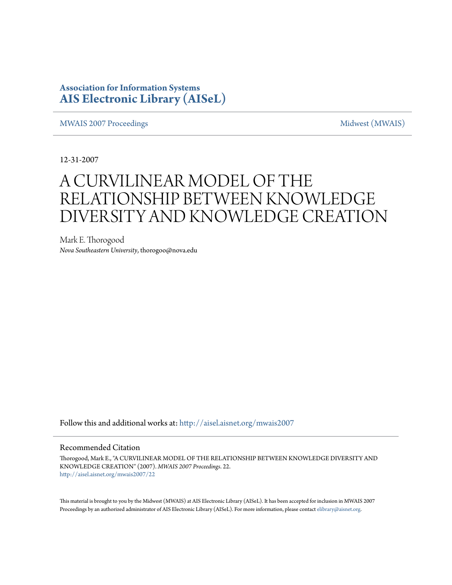# **Association for Information Systems [AIS Electronic Library \(AISeL\)](http://aisel.aisnet.org?utm_source=aisel.aisnet.org%2Fmwais2007%2F22&utm_medium=PDF&utm_campaign=PDFCoverPages)**

[MWAIS 2007 Proceedings](http://aisel.aisnet.org/mwais2007?utm_source=aisel.aisnet.org%2Fmwais2007%2F22&utm_medium=PDF&utm_campaign=PDFCoverPages) and the matrix of the [Midwest \(MWAIS\)](http://aisel.aisnet.org/mwais?utm_source=aisel.aisnet.org%2Fmwais2007%2F22&utm_medium=PDF&utm_campaign=PDFCoverPages)

12-31-2007

# A CURVILINEAR MODEL OF THE RELATIONSHIP BETWEEN KNOWLEDGE DIVERSITY AND KNOWLEDGE CREATION

Mark E. Thorogood *Nova Southeastern University*, thorogoo@nova.edu

Follow this and additional works at: [http://aisel.aisnet.org/mwais2007](http://aisel.aisnet.org/mwais2007?utm_source=aisel.aisnet.org%2Fmwais2007%2F22&utm_medium=PDF&utm_campaign=PDFCoverPages)

#### Recommended Citation

Thorogood, Mark E., "A CURVILINEAR MODEL OF THE RELATIONSHIP BETWEEN KNOWLEDGE DIVERSITY AND KNOWLEDGE CREATION" (2007). *MWAIS 2007 Proceedings*. 22. [http://aisel.aisnet.org/mwais2007/22](http://aisel.aisnet.org/mwais2007/22?utm_source=aisel.aisnet.org%2Fmwais2007%2F22&utm_medium=PDF&utm_campaign=PDFCoverPages)

This material is brought to you by the Midwest (MWAIS) at AIS Electronic Library (AISeL). It has been accepted for inclusion in MWAIS 2007 Proceedings by an authorized administrator of AIS Electronic Library (AISeL). For more information, please contact [elibrary@aisnet.org](mailto:elibrary@aisnet.org%3E).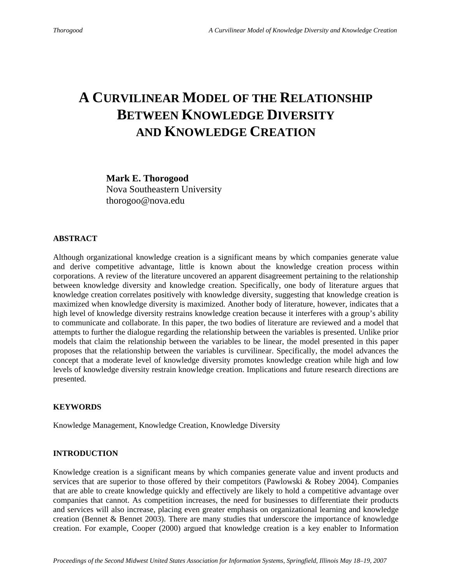# **A CURVILINEAR MODEL OF THE RELATIONSHIP BETWEEN KNOWLEDGE DIVERSITY AND KNOWLEDGE CREATION**

**Mark E. Thorogood** Nova Southeastern University thorogoo@nova.edu

#### **ABSTRACT**

Although organizational knowledge creation is a significant means by which companies generate value and derive competitive advantage, little is known about the knowledge creation process within corporations. A review of the literature uncovered an apparent disagreement pertaining to the relationship between knowledge diversity and knowledge creation. Specifically, one body of literature argues that knowledge creation correlates positively with knowledge diversity, suggesting that knowledge creation is maximized when knowledge diversity is maximized. Another body of literature, however, indicates that a high level of knowledge diversity restrains knowledge creation because it interferes with a group's ability to communicate and collaborate. In this paper, the two bodies of literature are reviewed and a model that attempts to further the dialogue regarding the relationship between the variables is presented. Unlike prior models that claim the relationship between the variables to be linear, the model presented in this paper proposes that the relationship between the variables is curvilinear. Specifically, the model advances the concept that a moderate level of knowledge diversity promotes knowledge creation while high and low levels of knowledge diversity restrain knowledge creation. Implications and future research directions are presented.

## **KEYWORDS**

Knowledge Management, Knowledge Creation, Knowledge Diversity

#### **INTRODUCTION**

Knowledge creation is a significant means by which companies generate value and invent products and services that are superior to those offered by their competitors (Pawlowski & Robey 2004). Companies that are able to create knowledge quickly and effectively are likely to hold a competitive advantage over companies that cannot. As competition increases, the need for businesses to differentiate their products and services will also increase, placing even greater emphasis on organizational learning and knowledge creation (Bennet & Bennet 2003). There are many studies that underscore the importance of knowledge creation. For example, Cooper (2000) argued that knowledge creation is a key enabler to Information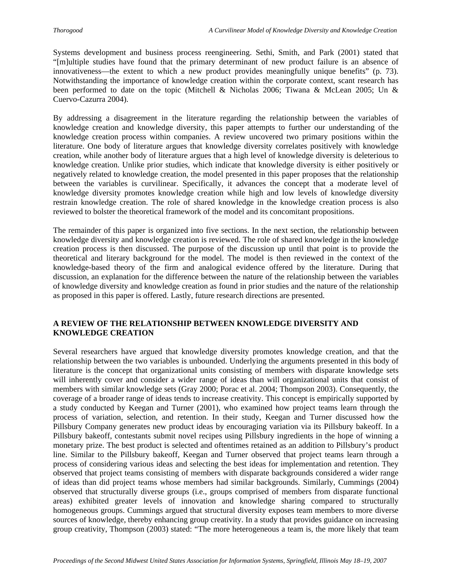Systems development and business process reengineering. Sethi, Smith, and Park (2001) stated that "[m]ultiple studies have found that the primary determinant of new product failure is an absence of innovativeness—the extent to which a new product provides meaningfully unique benefits" (p. 73). Notwithstanding the importance of knowledge creation within the corporate context, scant research has been performed to date on the topic (Mitchell & Nicholas 2006; Tiwana & McLean 2005; Un & Cuervo-Cazurra 2004).

By addressing a disagreement in the literature regarding the relationship between the variables of knowledge creation and knowledge diversity, this paper attempts to further our understanding of the knowledge creation process within companies. A review uncovered two primary positions within the literature. One body of literature argues that knowledge diversity correlates positively with knowledge creation, while another body of literature argues that a high level of knowledge diversity is deleterious to knowledge creation. Unlike prior studies, which indicate that knowledge diversity is either positively or negatively related to knowledge creation, the model presented in this paper proposes that the relationship between the variables is curvilinear. Specifically, it advances the concept that a moderate level of knowledge diversity promotes knowledge creation while high and low levels of knowledge diversity restrain knowledge creation. The role of shared knowledge in the knowledge creation process is also reviewed to bolster the theoretical framework of the model and its concomitant propositions.

The remainder of this paper is organized into five sections. In the next section, the relationship between knowledge diversity and knowledge creation is reviewed. The role of shared knowledge in the knowledge creation process is then discussed. The purpose of the discussion up until that point is to provide the theoretical and literary background for the model. The model is then reviewed in the context of the knowledge-based theory of the firm and analogical evidence offered by the literature. During that discussion, an explanation for the difference between the nature of the relationship between the variables of knowledge diversity and knowledge creation as found in prior studies and the nature of the relationship as proposed in this paper is offered. Lastly, future research directions are presented.

# **A REVIEW OF THE RELATIONSHIP BETWEEN KNOWLEDGE DIVERSITY AND KNOWLEDGE CREATION**

Several researchers have argued that knowledge diversity promotes knowledge creation, and that the relationship between the two variables is unbounded. Underlying the arguments presented in this body of literature is the concept that organizational units consisting of members with disparate knowledge sets will inherently cover and consider a wider range of ideas than will organizational units that consist of members with similar knowledge sets (Gray 2000; Porac et al. 2004; Thompson 2003). Consequently, the coverage of a broader range of ideas tends to increase creativity. This concept is empirically supported by a study conducted by Keegan and Turner (2001), who examined how project teams learn through the process of variation, selection, and retention. In their study, Keegan and Turner discussed how the Pillsbury Company generates new product ideas by encouraging variation via its Pillsbury bakeoff. In a Pillsbury bakeoff, contestants submit novel recipes using Pillsbury ingredients in the hope of winning a monetary prize. The best product is selected and oftentimes retained as an addition to Pillsbury's product line. Similar to the Pillsbury bakeoff, Keegan and Turner observed that project teams learn through a process of considering various ideas and selecting the best ideas for implementation and retention. They observed that project teams consisting of members with disparate backgrounds considered a wider range of ideas than did project teams whose members had similar backgrounds. Similarly, Cummings (2004) observed that structurally diverse groups (i.e., groups comprised of members from disparate functional areas) exhibited greater levels of innovation and knowledge sharing compared to structurally homogeneous groups. Cummings argued that structural diversity exposes team members to more diverse sources of knowledge, thereby enhancing group creativity. In a study that provides guidance on increasing group creativity, Thompson (2003) stated: "The more heterogeneous a team is, the more likely that team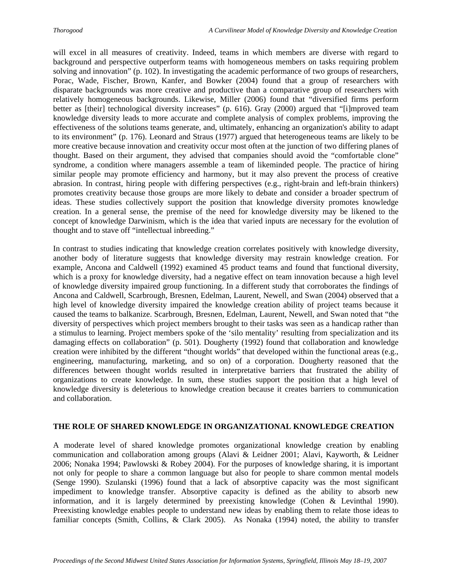will excel in all measures of creativity. Indeed, teams in which members are diverse with regard to background and perspective outperform teams with homogeneous members on tasks requiring problem solving and innovation" (p. 102). In investigating the academic performance of two groups of researchers, Porac, Wade, Fischer, Brown, Kanfer, and Bowker (2004) found that a group of researchers with disparate backgrounds was more creative and productive than a comparative group of researchers with relatively homogeneous backgrounds. Likewise, Miller (2006) found that "diversified firms perform better as [their] technological diversity increases" (p. 616). Gray (2000) argued that "[i]mproved team knowledge diversity leads to more accurate and complete analysis of complex problems, improving the effectiveness of the solutions teams generate, and, ultimately, enhancing an organization's ability to adapt to its environment" (p. 176). Leonard and Straus (1977) argued that heterogeneous teams are likely to be more creative because innovation and creativity occur most often at the junction of two differing planes of thought. Based on their argument, they advised that companies should avoid the "comfortable clone" syndrome, a condition where managers assemble a team of likeminded people. The practice of hiring similar people may promote efficiency and harmony, but it may also prevent the process of creative abrasion. In contrast, hiring people with differing perspectives (e.g., right-brain and left-brain thinkers) promotes creativity because those groups are more likely to debate and consider a broader spectrum of ideas. These studies collectively support the position that knowledge diversity promotes knowledge creation. In a general sense, the premise of the need for knowledge diversity may be likened to the concept of knowledge Darwinism, which is the idea that varied inputs are necessary for the evolution of thought and to stave off "intellectual inbreeding."

In contrast to studies indicating that knowledge creation correlates positively with knowledge diversity, another body of literature suggests that knowledge diversity may restrain knowledge creation. For example, Ancona and Caldwell (1992) examined 45 product teams and found that functional diversity, which is a proxy for knowledge diversity, had a negative effect on team innovation because a high level of knowledge diversity impaired group functioning. In a different study that corroborates the findings of Ancona and Caldwell, Scarbrough, Bresnen, Edelman, Laurent, Newell, and Swan (2004) observed that a high level of knowledge diversity impaired the knowledge creation ability of project teams because it caused the teams to balkanize. Scarbrough, Bresnen, Edelman, Laurent, Newell, and Swan noted that "the diversity of perspectives which project members brought to their tasks was seen as a handicap rather than a stimulus to learning. Project members spoke of the 'silo mentality' resulting from specialization and its damaging effects on collaboration" (p. 501). Dougherty (1992) found that collaboration and knowledge creation were inhibited by the different "thought worlds" that developed within the functional areas (e.g., engineering, manufacturing, marketing, and so on) of a corporation. Dougherty reasoned that the differences between thought worlds resulted in interpretative barriers that frustrated the ability of organizations to create knowledge. In sum, these studies support the position that a high level of knowledge diversity is deleterious to knowledge creation because it creates barriers to communication and collaboration.

## **THE ROLE OF SHARED KNOWLEDGE IN ORGANIZATIONAL KNOWLEDGE CREATION**

A moderate level of shared knowledge promotes organizational knowledge creation by enabling communication and collaboration among groups (Alavi & Leidner 2001; Alavi, Kayworth, & Leidner 2006; Nonaka 1994; Pawlowski & Robey 2004). For the purposes of knowledge sharing, it is important not only for people to share a common language but also for people to share common mental models (Senge 1990). Szulanski (1996) found that a lack of absorptive capacity was the most significant impediment to knowledge transfer. Absorptive capacity is defined as the ability to absorb new information, and it is largely determined by preexisting knowledge (Cohen & Levinthal 1990). Preexisting knowledge enables people to understand new ideas by enabling them to relate those ideas to familiar concepts (Smith, Collins, & Clark 2005). As Nonaka (1994) noted, the ability to transfer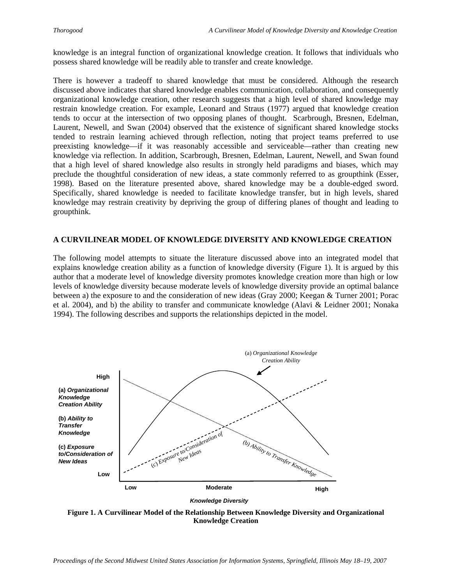knowledge is an integral function of organizational knowledge creation. It follows that individuals who possess shared knowledge will be readily able to transfer and create knowledge.

There is however a tradeoff to shared knowledge that must be considered. Although the research discussed above indicates that shared knowledge enables communication, collaboration, and consequently organizational knowledge creation, other research suggests that a high level of shared knowledge may restrain knowledge creation. For example, Leonard and Straus (1977) argued that knowledge creation tends to occur at the intersection of two opposing planes of thought. Scarbrough, Bresnen, Edelman, Laurent, Newell, and Swan (2004) observed that the existence of significant shared knowledge stocks tended to restrain learning achieved through reflection, noting that project teams preferred to use preexisting knowledge—if it was reasonably accessible and serviceable—rather than creating new knowledge via reflection. In addition, Scarbrough, Bresnen, Edelman, Laurent, Newell, and Swan found that a high level of shared knowledge also results in strongly held paradigms and biases, which may preclude the thoughtful consideration of new ideas, a state commonly referred to as groupthink (Esser, 1998). Based on the literature presented above, shared knowledge may be a double-edged sword. Specifically, shared knowledge is needed to facilitate knowledge transfer, but in high levels, shared knowledge may restrain creativity by depriving the group of differing planes of thought and leading to groupthink.

## **A CURVILINEAR MODEL OF KNOWLEDGE DIVERSITY AND KNOWLEDGE CREATION**

The following model attempts to situate the literature discussed above into an integrated model that explains knowledge creation ability as a function of knowledge diversity (Figure 1). It is argued by this author that a moderate level of knowledge diversity promotes knowledge creation more than high or low levels of knowledge diversity because moderate levels of knowledge diversity provide an optimal balance between a) the exposure to and the consideration of new ideas (Gray 2000; Keegan & Turner 2001; Porac et al. 2004), and b) the ability to transfer and communicate knowledge (Alavi & Leidner 2001; Nonaka 1994). The following describes and supports the relationships depicted in the model.



*Knowledge Diversity*

**Figure 1. A Curvilinear Model of the Relationship Between Knowledge Diversity and Organizational Knowledge Creation**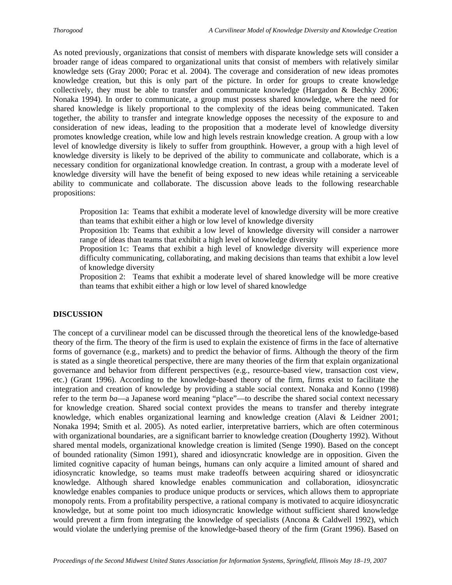As noted previously, organizations that consist of members with disparate knowledge sets will consider a broader range of ideas compared to organizational units that consist of members with relatively similar knowledge sets (Gray 2000; Porac et al. 2004). The coverage and consideration of new ideas promotes knowledge creation, but this is only part of the picture. In order for groups to create knowledge collectively, they must be able to transfer and communicate knowledge (Hargadon & Bechky 2006; Nonaka 1994). In order to communicate, a group must possess shared knowledge, where the need for shared knowledge is likely proportional to the complexity of the ideas being communicated. Taken together, the ability to transfer and integrate knowledge opposes the necessity of the exposure to and consideration of new ideas, leading to the proposition that a moderate level of knowledge diversity promotes knowledge creation, while low and high levels restrain knowledge creation. A group with a low level of knowledge diversity is likely to suffer from groupthink. However, a group with a high level of knowledge diversity is likely to be deprived of the ability to communicate and collaborate, which is a necessary condition for organizational knowledge creation. In contrast, a group with a moderate level of knowledge diversity will have the benefit of being exposed to new ideas while retaining a serviceable ability to communicate and collaborate. The discussion above leads to the following researchable propositions:

Proposition 1a: Teams that exhibit a moderate level of knowledge diversity will be more creative than teams that exhibit either a high or low level of knowledge diversity

Proposition 1b: Teams that exhibit a low level of knowledge diversity will consider a narrower range of ideas than teams that exhibit a high level of knowledge diversity

Proposition 1c: Teams that exhibit a high level of knowledge diversity will experience more difficulty communicating, collaborating, and making decisions than teams that exhibit a low level of knowledge diversity

Proposition 2: Teams that exhibit a moderate level of shared knowledge will be more creative than teams that exhibit either a high or low level of shared knowledge

## **DISCUSSION**

The concept of a curvilinear model can be discussed through the theoretical lens of the knowledge-based theory of the firm. The theory of the firm is used to explain the existence of firms in the face of alternative forms of governance (e.g., markets) and to predict the behavior of firms. Although the theory of the firm is stated as a single theoretical perspective, there are many theories of the firm that explain organizational governance and behavior from different perspectives (e.g., resource-based view, transaction cost view, etc.) (Grant 1996). According to the knowledge-based theory of the firm, firms exist to facilitate the integration and creation of knowledge by providing a stable social context. Nonaka and Konno (1998) refer to the term *ba*—a Japanese word meaning "place"—to describe the shared social context necessary for knowledge creation. Shared social context provides the means to transfer and thereby integrate knowledge, which enables organizational learning and knowledge creation (Alavi & Leidner 2001; Nonaka 1994; Smith et al. 2005). As noted earlier, interpretative barriers, which are often coterminous with organizational boundaries, are a significant barrier to knowledge creation (Dougherty 1992). Without shared mental models, organizational knowledge creation is limited (Senge 1990). Based on the concept of bounded rationality (Simon 1991), shared and idiosyncratic knowledge are in opposition. Given the limited cognitive capacity of human beings, humans can only acquire a limited amount of shared and idiosyncratic knowledge, so teams must make tradeoffs between acquiring shared or idiosyncratic knowledge. Although shared knowledge enables communication and collaboration, idiosyncratic knowledge enables companies to produce unique products or services, which allows them to appropriate monopoly rents. From a profitability perspective, a rational company is motivated to acquire idiosyncratic knowledge, but at some point too much idiosyncratic knowledge without sufficient shared knowledge would prevent a firm from integrating the knowledge of specialists (Ancona & Caldwell 1992), which would violate the underlying premise of the knowledge-based theory of the firm (Grant 1996). Based on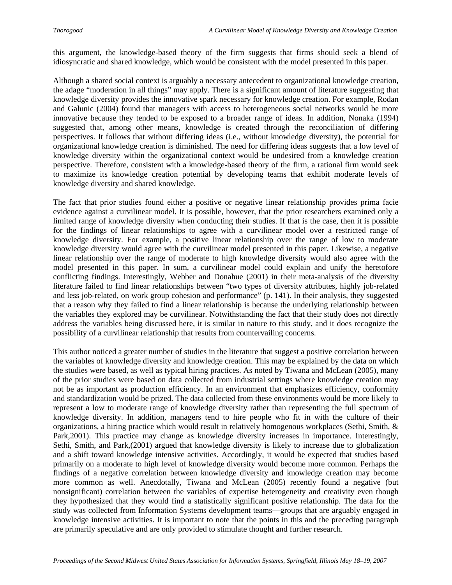this argument, the knowledge-based theory of the firm suggests that firms should seek a blend of idiosyncratic and shared knowledge, which would be consistent with the model presented in this paper.

Although a shared social context is arguably a necessary antecedent to organizational knowledge creation, the adage "moderation in all things" may apply. There is a significant amount of literature suggesting that knowledge diversity provides the innovative spark necessary for knowledge creation. For example, Rodan and Galunic (2004) found that managers with access to heterogeneous social networks would be more innovative because they tended to be exposed to a broader range of ideas. In addition, Nonaka (1994) suggested that, among other means, knowledge is created through the reconciliation of differing perspectives. It follows that without differing ideas (i.e., without knowledge diversity), the potential for organizational knowledge creation is diminished. The need for differing ideas suggests that a low level of knowledge diversity within the organizational context would be undesired from a knowledge creation perspective. Therefore, consistent with a knowledge-based theory of the firm, a rational firm would seek to maximize its knowledge creation potential by developing teams that exhibit moderate levels of knowledge diversity and shared knowledge.

The fact that prior studies found either a positive or negative linear relationship provides prima facie evidence against a curvilinear model. It is possible, however, that the prior researchers examined only a limited range of knowledge diversity when conducting their studies. If that is the case, then it is possible for the findings of linear relationships to agree with a curvilinear model over a restricted range of knowledge diversity. For example, a positive linear relationship over the range of low to moderate knowledge diversity would agree with the curvilinear model presented in this paper. Likewise, a negative linear relationship over the range of moderate to high knowledge diversity would also agree with the model presented in this paper. In sum, a curvilinear model could explain and unify the heretofore conflicting findings. Interestingly, Webber and Donahue (2001) in their meta-analysis of the diversity literature failed to find linear relationships between "two types of diversity attributes, highly job-related and less job-related, on work group cohesion and performance" (p. 141). In their analysis, they suggested that a reason why they failed to find a linear relationship is because the underlying relationship between the variables they explored may be curvilinear. Notwithstanding the fact that their study does not directly address the variables being discussed here, it is similar in nature to this study, and it does recognize the possibility of a curvilinear relationship that results from countervailing concerns.

This author noticed a greater number of studies in the literature that suggest a positive correlation between the variables of knowledge diversity and knowledge creation. This may be explained by the data on which the studies were based, as well as typical hiring practices. As noted by Tiwana and McLean (2005), many of the prior studies were based on data collected from industrial settings where knowledge creation may not be as important as production efficiency. In an environment that emphasizes efficiency, conformity and standardization would be prized. The data collected from these environments would be more likely to represent a low to moderate range of knowledge diversity rather than representing the full spectrum of knowledge diversity. In addition, managers tend to hire people who fit in with the culture of their organizations, a hiring practice which would result in relatively homogenous workplaces (Sethi, Smith, & Park,2001). This practice may change as knowledge diversity increases in importance. Interestingly, Sethi, Smith, and Park,(2001) argued that knowledge diversity is likely to increase due to globalization and a shift toward knowledge intensive activities. Accordingly, it would be expected that studies based primarily on a moderate to high level of knowledge diversity would become more common. Perhaps the findings of a negative correlation between knowledge diversity and knowledge creation may become more common as well. Anecdotally, Tiwana and McLean (2005) recently found a negative (but nonsignificant) correlation between the variables of expertise heterogeneity and creativity even though they hypothesized that they would find a statistically significant positive relationship. The data for the study was collected from Information Systems development teams—groups that are arguably engaged in knowledge intensive activities. It is important to note that the points in this and the preceding paragraph are primarily speculative and are only provided to stimulate thought and further research.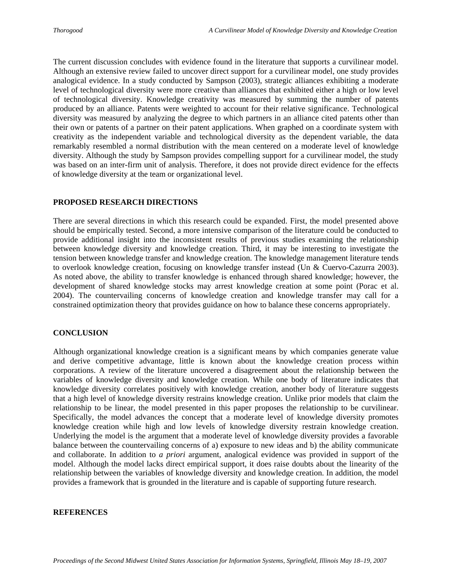The current discussion concludes with evidence found in the literature that supports a curvilinear model. Although an extensive review failed to uncover direct support for a curvilinear model, one study provides analogical evidence. In a study conducted by Sampson (2003), strategic alliances exhibiting a moderate level of technological diversity were more creative than alliances that exhibited either a high or low level of technological diversity. Knowledge creativity was measured by summing the number of patents produced by an alliance. Patents were weighted to account for their relative significance. Technological diversity was measured by analyzing the degree to which partners in an alliance cited patents other than their own or patents of a partner on their patent applications. When graphed on a coordinate system with creativity as the independent variable and technological diversity as the dependent variable, the data remarkably resembled a normal distribution with the mean centered on a moderate level of knowledge diversity. Although the study by Sampson provides compelling support for a curvilinear model, the study was based on an inter-firm unit of analysis. Therefore, it does not provide direct evidence for the effects of knowledge diversity at the team or organizational level.

#### **PROPOSED RESEARCH DIRECTIONS**

There are several directions in which this research could be expanded. First, the model presented above should be empirically tested. Second, a more intensive comparison of the literature could be conducted to provide additional insight into the inconsistent results of previous studies examining the relationship between knowledge diversity and knowledge creation. Third, it may be interesting to investigate the tension between knowledge transfer and knowledge creation. The knowledge management literature tends to overlook knowledge creation, focusing on knowledge transfer instead (Un & Cuervo-Cazurra 2003). As noted above, the ability to transfer knowledge is enhanced through shared knowledge; however, the development of shared knowledge stocks may arrest knowledge creation at some point (Porac et al. 2004). The countervailing concerns of knowledge creation and knowledge transfer may call for a constrained optimization theory that provides guidance on how to balance these concerns appropriately.

## **CONCLUSION**

Although organizational knowledge creation is a significant means by which companies generate value and derive competitive advantage, little is known about the knowledge creation process within corporations. A review of the literature uncovered a disagreement about the relationship between the variables of knowledge diversity and knowledge creation. While one body of literature indicates that knowledge diversity correlates positively with knowledge creation, another body of literature suggests that a high level of knowledge diversity restrains knowledge creation. Unlike prior models that claim the relationship to be linear, the model presented in this paper proposes the relationship to be curvilinear. Specifically, the model advances the concept that a moderate level of knowledge diversity promotes knowledge creation while high and low levels of knowledge diversity restrain knowledge creation. Underlying the model is the argument that a moderate level of knowledge diversity provides a favorable balance between the countervailing concerns of a) exposure to new ideas and b) the ability communicate and collaborate. In addition to *a priori* argument, analogical evidence was provided in support of the model. Although the model lacks direct empirical support, it does raise doubts about the linearity of the relationship between the variables of knowledge diversity and knowledge creation. In addition, the model provides a framework that is grounded in the literature and is capable of supporting future research.

## **REFERENCES**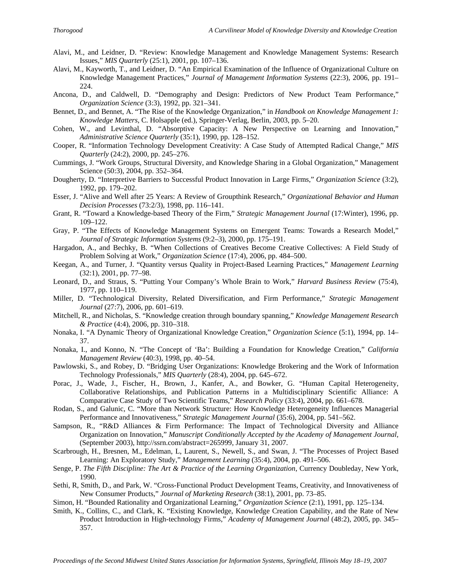- Alavi, M., and Leidner, D. "Review: Knowledge Management and Knowledge Management Systems: Research Issues," *MIS Quarterly* (25:1), 2001, pp. 107–136.
- Alavi, M., Kayworth, T., and Leidner, D. "An Empirical Examination of the Influence of Organizational Culture on Knowledge Management Practices," *Journal of Management Information Systems* (22:3), 2006, pp. 191– 224.
- Ancona, D., and Caldwell, D. "Demography and Design: Predictors of New Product Team Performance," *Organization Science* (3:3), 1992, pp. 321–341.
- Bennet, D., and Bennet, A. "The Rise of the Knowledge Organization," in *Handbook on Knowledge Management 1: Knowledge Matters*, C. Holsapple (ed.), Springer-Verlag, Berlin, 2003, pp. 5–20.
- Cohen, W., and Levinthal, D. "Absorptive Capacity: A New Perspective on Learning and Innovation," *Administrative Science Quarterly* (35:1), 1990, pp. 128–152.
- Cooper, R. "Information Technology Development Creativity: A Case Study of Attempted Radical Change," *MIS Quarterly* (24:2), 2000, pp. 245–276.
- Cummings, J. "Work Groups, Structural Diversity, and Knowledge Sharing in a Global Organization," Management Science (50:3), 2004, pp. 352–364.
- Dougherty, D. "Interpretive Barriers to Successful Product Innovation in Large Firms," *Organization Science* (3:2), 1992, pp. 179–202.
- Esser, J. "Alive and Well after 25 Years: A Review of Groupthink Research," *Organizational Behavior and Human Decision Processes* (73:2/3), 1998, pp. 116–141.
- Grant, R. "Toward a Knowledge-based Theory of the Firm," *Strategic Management Journal* (17:Winter), 1996, pp. 109–122.
- Gray, P. "The Effects of Knowledge Management Systems on Emergent Teams: Towards a Research Model," *Journal of Strategic Information Systems* (9:2–3), 2000, pp. 175–191.
- Hargadon, A., and Bechky, B. "When Collections of Creatives Become Creative Collectives: A Field Study of Problem Solving at Work," *Organization Science* (17:4), 2006, pp. 484–500.
- Keegan, A., and Turner, J. "Quantity versus Quality in Project-Based Learning Practices," *Management Learning* (32:1), 2001, pp. 77–98.
- Leonard, D., and Straus, S. "Putting Your Company's Whole Brain to Work," *Harvard Business Review* (75:4), 1977, pp. 110–119.
- Miller, D. "Technological Diversity, Related Diversification, and Firm Performance," *Strategic Management Journal* (27:7), 2006, pp. 601–619.
- Mitchell, R., and Nicholas, S. "Knowledge creation through boundary spanning," *Knowledge Management Research & Practice* (4:4), 2006, pp. 310–318.
- Nonaka, I. "A Dynamic Theory of Organizational Knowledge Creation," *Organization Science* (5:1), 1994, pp. 14– 37.
- Nonaka, I., and Konno, N. "The Concept of 'Ba': Building a Foundation for Knowledge Creation," *California Management Review* (40:3), 1998, pp. 40–54.
- Pawlowski, S., and Robey, D. "Bridging User Organizations: Knowledge Brokering and the Work of Information Technology Professionals," *MIS Quarterly* (28:4), 2004, pp. 645–672.
- Porac, J., Wade, J., Fischer, H., Brown, J., Kanfer, A., and Bowker, G. "Human Capital Heterogeneity, Collaborative Relationships, and Publication Patterns in a Multidisciplinary Scientific Alliance: A Comparative Case Study of Two Scientific Teams," *Research Policy* (33:4), 2004, pp. 661–678.
- Rodan, S., and Galunic, C. "More than Network Structure: How Knowledge Heterogeneity Influences Managerial Performance and Innovativeness," *Strategic Management Journal* (35:6), 2004, pp. 541–562.
- Sampson, R., "R&D Alliances & Firm Performance: The Impact of Technological Diversity and Alliance Organization on Innovation," *Manuscript Conditionally Accepted by the Academy of Management Journal,* (September 2003), http://ssrn.com/abstract=265999, January 31, 2007.
- Scarbrough, H., Bresnen, M., Edelman, L, Laurent, S., Newell, S., and Swan, J. "The Processes of Project Based Learning: An Exploratory Study," *Management Learning* (35:4), 2004, pp. 491–506.
- Senge, P. *The Fifth Discipline: The Art & Practice of the Learning Organization*, Currency Doubleday, New York, 1990.
- Sethi, R, Smith, D., and Park, W. "Cross-Functional Product Development Teams, Creativity, and Innovativeness of New Consumer Products," *Journal of Marketing Research* (38:1), 2001, pp. 73–85.
- Simon, H. "Bounded Rationality and Organizational Learning," *Organization Science* (2:1), 1991, pp. 125–134.
- Smith, K., Collins, C., and Clark, K. "Existing Knowledge, Knowledge Creation Capability, and the Rate of New Product Introduction in High-technology Firms," *Academy of Management Journal* (48:2), 2005, pp. 345– 357.